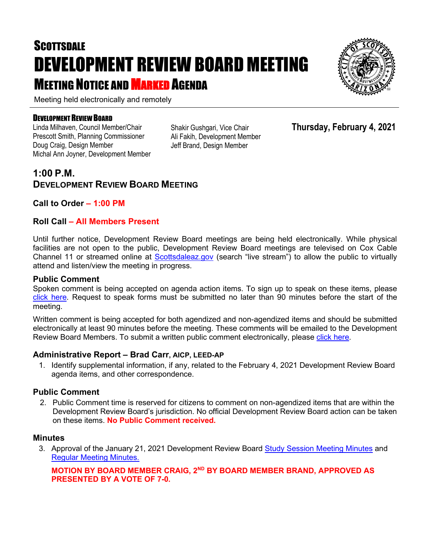# **SCOTTSDALE** DEVELOPMENT REVIEW BOARD MEETING **MEETING NOTICE AND MARKED AGENDA**

Meeting held electronically and remotely

#### DEVELOPMENT REVIEW BOARD

Linda Milhaven, Council Member/Chair Prescott Smith, Planning Commissioner Doug Craig, Design Member Michal Ann Joyner, Development Member Shakir Gushgari, Vice Chair Ali Fakih, Development Member Jeff Brand, Design Member

### **Thursday, February 4, 2021**

## **1:00 P.M. DEVELOPMENT REVIEW BOARD MEETING**

#### **Call to Order – 1:00 PM**

#### **Roll Call – All Members Present**

Until further notice, Development Review Board meetings are being held electronically. While physical facilities are not open to the public, Development Review Board meetings are televised on Cox Cable Channel 11 or streamed online at [Scottsdaleaz.gov](https://www.scottsdaleaz.gov/) (search "live stream") to allow the public to virtually attend and listen/view the meeting in progress.

#### **Public Comment**

Spoken comment is being accepted on agenda action items. To sign up to speak on these items, please [click here.](https://www.scottsdaleaz.gov/boards/development-review-board/spoken-comment) Request to speak forms must be submitted no later than 90 minutes before the start of the meeting.

Written comment is being accepted for both agendized and non-agendized items and should be submitted electronically at least 90 minutes before the meeting. These comments will be emailed to the Development Review Board Members. To submit a written public comment electronically, please [click here.](https://www.scottsdaleaz.gov/boards/development-review-board/public-comment)

#### **Administrative Report – Brad Carr, AICP, LEED-AP**

1. Identify supplemental information, if any, related to the February 4, 2021 Development Review Board agenda items, and other correspondence.

#### **Public Comment**

2. Public Comment time is reserved for citizens to comment on non-agendized items that are within the Development Review Board's jurisdiction. No official Development Review Board action can be taken on these items. **No Public Comment received.**

#### **Minutes**

3. Approval of the January 21, 2021 Development Review Board [Study Session Meeting Minutes](https://eservices.scottsdaleaz.gov/planning/projectsummary/unrelated_documents/DR_SS_MINUTES_01212021.pdf) and [Regular Meeting Minutes.](https://eservices.scottsdaleaz.gov/planning/projectsummary/unrelated_documents/DRB_MEETING_MINUTES_01212021.pdf)

#### **MOTION BY BOARD MEMBER CRAIG, 2ND BY BOARD MEMBER BRAND, APPROVED AS PRESENTED BY A VOTE OF 7-0.**